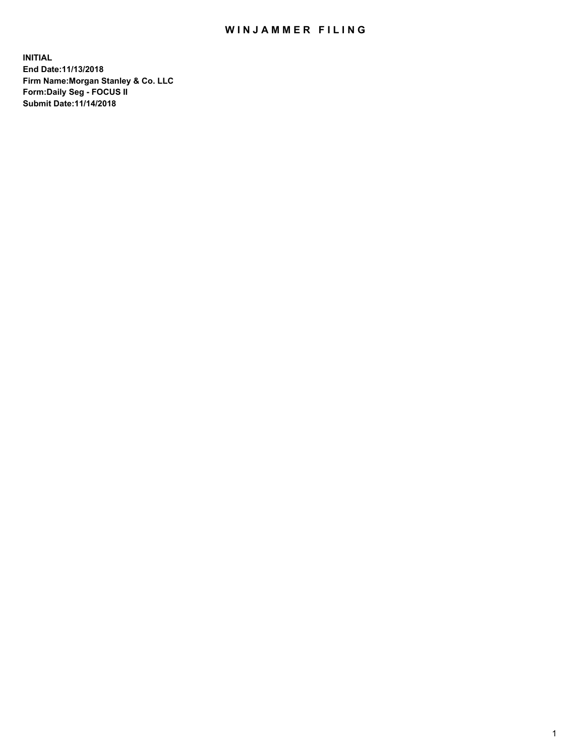## WIN JAMMER FILING

**INITIAL End Date:11/13/2018 Firm Name:Morgan Stanley & Co. LLC Form:Daily Seg - FOCUS II Submit Date:11/14/2018**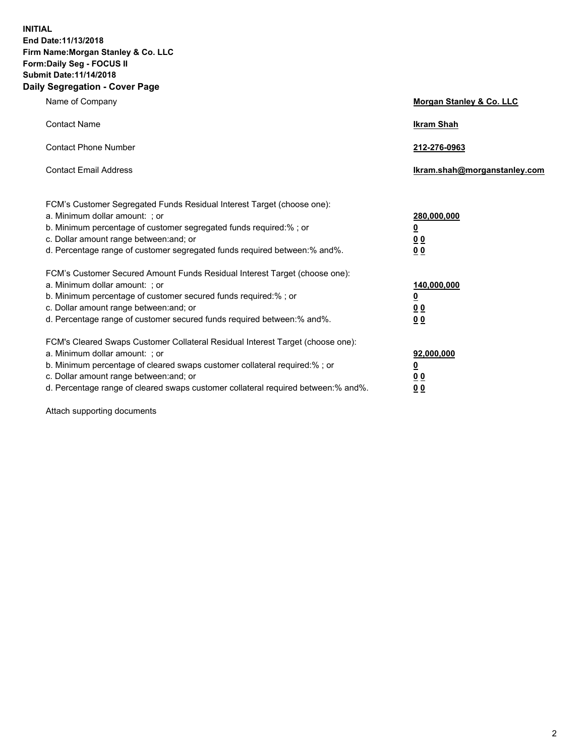**INITIAL End Date:11/13/2018 Firm Name:Morgan Stanley & Co. LLC Form:Daily Seg - FOCUS II Submit Date:11/14/2018 Daily Segregation - Cover Page**

| Name of Company                                                                                                                                                                                                                                                                                                                | Morgan Stanley & Co. LLC                                    |
|--------------------------------------------------------------------------------------------------------------------------------------------------------------------------------------------------------------------------------------------------------------------------------------------------------------------------------|-------------------------------------------------------------|
| <b>Contact Name</b>                                                                                                                                                                                                                                                                                                            | <b>Ikram Shah</b>                                           |
| <b>Contact Phone Number</b>                                                                                                                                                                                                                                                                                                    | 212-276-0963                                                |
| <b>Contact Email Address</b>                                                                                                                                                                                                                                                                                                   | Ikram.shah@morganstanley.com                                |
| FCM's Customer Segregated Funds Residual Interest Target (choose one):<br>a. Minimum dollar amount: ; or<br>b. Minimum percentage of customer segregated funds required:% ; or<br>c. Dollar amount range between: and; or<br>d. Percentage range of customer segregated funds required between:% and%.                         | 280,000,000<br><u>0</u><br>00<br>00                         |
| FCM's Customer Secured Amount Funds Residual Interest Target (choose one):<br>a. Minimum dollar amount: ; or<br>b. Minimum percentage of customer secured funds required:%; or<br>c. Dollar amount range between: and; or<br>d. Percentage range of customer secured funds required between:% and%.                            | 140,000,000<br><u>0</u><br>0 <sub>0</sub><br>0 <sub>0</sub> |
| FCM's Cleared Swaps Customer Collateral Residual Interest Target (choose one):<br>a. Minimum dollar amount: ; or<br>b. Minimum percentage of cleared swaps customer collateral required:% ; or<br>c. Dollar amount range between: and; or<br>d. Percentage range of cleared swaps customer collateral required between:% and%. | 92,000,000<br><u>0</u><br><u>00</u><br>0 <sub>0</sub>       |

Attach supporting documents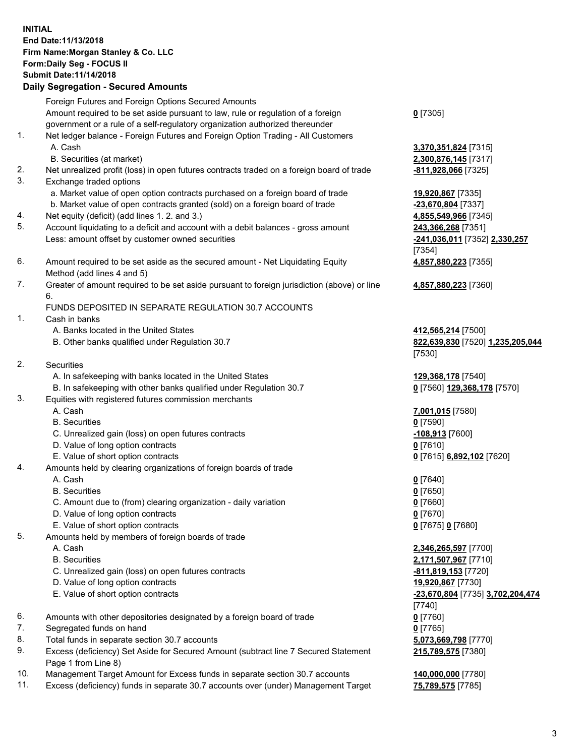## **INITIAL End Date:11/13/2018 Firm Name:Morgan Stanley & Co. LLC Form:Daily Seg - FOCUS II Submit Date:11/14/2018**

## **Daily Segregation - Secured Amounts**

Foreign Futures and Foreign Options Secured Amounts Amount required to be set aside pursuant to law, rule or regulation of a foreign government or a rule of a self-regulatory organization authorized thereunder 1. Net ledger balance - Foreign Futures and Foreign Option Trading - All Customers A. Cash **3,370,351,824** [7315]

- 
- 
- 2. Net unrealized profit (loss) in open futures contracts traded on a foreign board of trade **-811,928,066** [7325]
- 3. Exchange traded options
	- a. Market value of open option contracts purchased on a foreign board of trade **19,920,867** [7335]
	- b. Market value of open contracts granted (sold) on a foreign board of trade **-23,670,804** [7337]
- 4. Net equity (deficit) (add lines 1. 2. and 3.) **4,855,549,966** [7345]
- 5. Account liquidating to a deficit and account with a debit balances gross amount **243,366,268** [7351] Less: amount offset by customer owned securities **-241,036,011** [7352] **2,330,257**
- 6. Amount required to be set aside as the secured amount Net Liquidating Equity Method (add lines 4 and 5)
- 7. Greater of amount required to be set aside pursuant to foreign jurisdiction (above) or line 6.

## FUNDS DEPOSITED IN SEPARATE REGULATION 30.7 ACCOUNTS

- 1. Cash in banks
	- A. Banks located in the United States **412,565,214** [7500]
	- B. Other banks qualified under Regulation 30.7 **822,639,830** [7520] **1,235,205,044**
- 2. Securities
	- A. In safekeeping with banks located in the United States **129,368,178** [7540]
	- B. In safekeeping with other banks qualified under Regulation 30.7 **0** [7560] **129,368,178** [7570]
- 3. Equities with registered futures commission merchants
	-
	- B. Securities **0** [7590]
	- C. Unrealized gain (loss) on open futures contracts **-108,913** [7600]
	- D. Value of long option contracts **0** [7610]
- E. Value of short option contracts **0** [7615] **6,892,102** [7620]
- 4. Amounts held by clearing organizations of foreign boards of trade
	- A. Cash **0** [7640]
	- B. Securities **0** [7650]
	- C. Amount due to (from) clearing organization daily variation **0** [7660]
	- D. Value of long option contracts **0** [7670]
	- E. Value of short option contracts **0** [7675] **0** [7680]
- 5. Amounts held by members of foreign boards of trade
	-
	-
	- C. Unrealized gain (loss) on open futures contracts **-811,819,153** [7720]
	- D. Value of long option contracts **19,920,867** [7730]
	- E. Value of short option contracts **-23,670,804** [7735] **3,702,204,474**
- 6. Amounts with other depositories designated by a foreign board of trade **0** [7760]
- 7. Segregated funds on hand **0** [7765]
- 8. Total funds in separate section 30.7 accounts **5,073,669,798** [7770]
- 9. Excess (deficiency) Set Aside for Secured Amount (subtract line 7 Secured Statement Page 1 from Line 8)
- 10. Management Target Amount for Excess funds in separate section 30.7 accounts **140,000,000** [7780]
- 11. Excess (deficiency) funds in separate 30.7 accounts over (under) Management Target **75,789,575** [7785]

**0** [7305]

B. Securities (at market) **2,300,876,145** [7317]

[7354] **4,857,880,223** [7355]

**4,857,880,223** [7360]

[7530]

A. Cash **7,001,015** [7580]

 A. Cash **2,346,265,597** [7700] B. Securities **2,171,507,967** [7710] [7740] **215,789,575** [7380]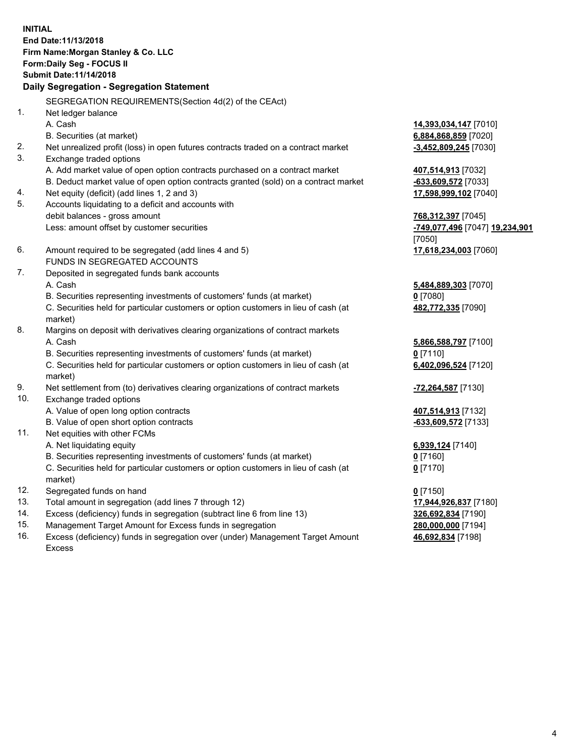**INITIAL End Date:11/13/2018 Firm Name:Morgan Stanley & Co. LLC Form:Daily Seg - FOCUS II Submit Date:11/14/2018 Daily Segregation - Segregation Statement** SEGREGATION REQUIREMENTS(Section 4d(2) of the CEAct) 1. Net ledger balance A. Cash **14,393,034,147** [7010] B. Securities (at market) **6,884,868,859** [7020] 2. Net unrealized profit (loss) in open futures contracts traded on a contract market **-3,452,809,245** [7030] 3. Exchange traded options A. Add market value of open option contracts purchased on a contract market **407,514,913** [7032] B. Deduct market value of open option contracts granted (sold) on a contract market **-633,609,572** [7033] 4. Net equity (deficit) (add lines 1, 2 and 3) **17,598,999,102** [7040] 5. Accounts liquidating to a deficit and accounts with debit balances - gross amount **768,312,397** [7045] Less: amount offset by customer securities **-749,077,496** [7047] **19,234,901** [7050] 6. Amount required to be segregated (add lines 4 and 5) **17,618,234,003** [7060] FUNDS IN SEGREGATED ACCOUNTS 7. Deposited in segregated funds bank accounts A. Cash **5,484,889,303** [7070] B. Securities representing investments of customers' funds (at market) **0** [7080] C. Securities held for particular customers or option customers in lieu of cash (at market) **482,772,335** [7090] 8. Margins on deposit with derivatives clearing organizations of contract markets A. Cash **5,866,588,797** [7100] B. Securities representing investments of customers' funds (at market) **0** [7110] C. Securities held for particular customers or option customers in lieu of cash (at market) **6,402,096,524** [7120] 9. Net settlement from (to) derivatives clearing organizations of contract markets **-72,264,587** [7130] 10. Exchange traded options A. Value of open long option contracts **407,514,913** [7132] B. Value of open short option contracts **and the set of our of the set of our of the set of our of the set of the set of the set of the set of the set of the set of the set of the set of the set of the set of the set of th** 11. Net equities with other FCMs A. Net liquidating equity **6,939,124** [7140] B. Securities representing investments of customers' funds (at market) **0** [7160] C. Securities held for particular customers or option customers in lieu of cash (at market) **0** [7170] 12. Segregated funds on hand **0** [7150] 13. Total amount in segregation (add lines 7 through 12) **17,944,926,837** [7180] 14. Excess (deficiency) funds in segregation (subtract line 6 from line 13) **326,692,834** [7190]

- 15. Management Target Amount for Excess funds in segregation **280,000,000** [7194]
- 16. Excess (deficiency) funds in segregation over (under) Management Target Amount Excess

**46,692,834** [7198]